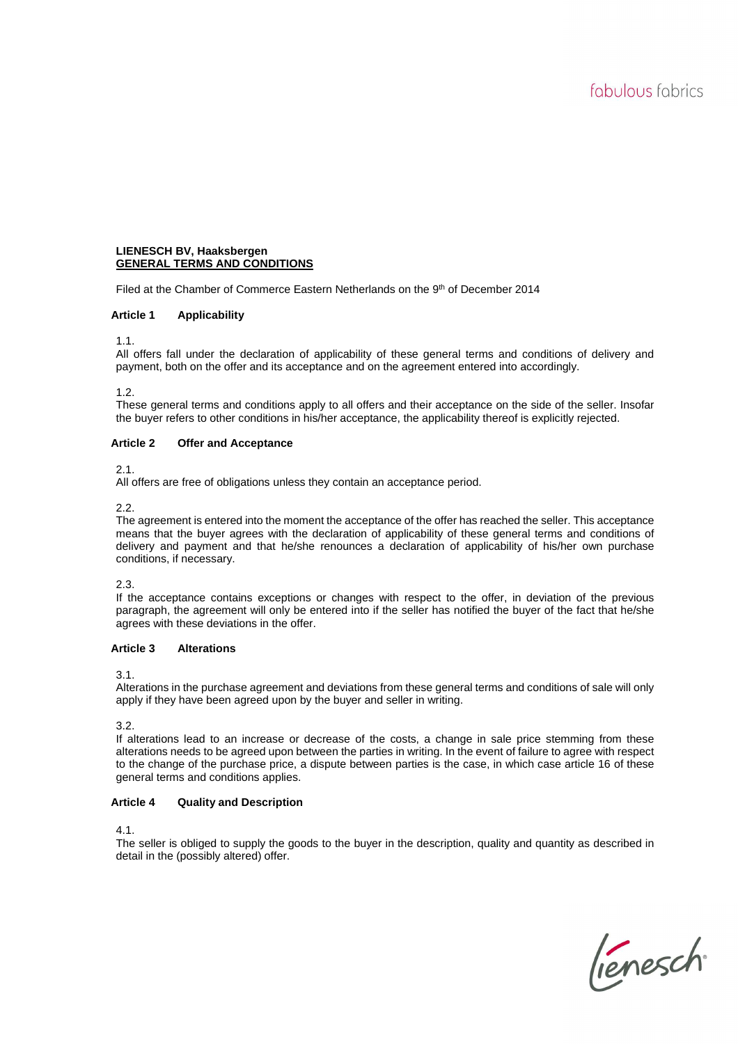# **LIENESCH BV, Haaksbergen GENERAL TERMS AND CONDITIONS**

Filed at the Chamber of Commerce Eastern Netherlands on the 9th of December 2014

# **Article 1 Applicability**

1.1.

All offers fall under the declaration of applicability of these general terms and conditions of delivery and payment, both on the offer and its acceptance and on the agreement entered into accordingly.

1.2.

These general terms and conditions apply to all offers and their acceptance on the side of the seller. Insofar the buyer refers to other conditions in his/her acceptance, the applicability thereof is explicitly rejected.

## **Article 2 Offer and Acceptance**

2.1.

All offers are free of obligations unless they contain an acceptance period.

2.2.

The agreement is entered into the moment the acceptance of the offer has reached the seller. This acceptance means that the buyer agrees with the declaration of applicability of these general terms and conditions of delivery and payment and that he/she renounces a declaration of applicability of his/her own purchase conditions, if necessary.

2.3.

If the acceptance contains exceptions or changes with respect to the offer, in deviation of the previous paragraph, the agreement will only be entered into if the seller has notified the buyer of the fact that he/she agrees with these deviations in the offer.

# **Article 3 Alterations**

3.1.

Alterations in the purchase agreement and deviations from these general terms and conditions of sale will only apply if they have been agreed upon by the buyer and seller in writing.

3.2.

If alterations lead to an increase or decrease of the costs, a change in sale price stemming from these alterations needs to be agreed upon between the parties in writing. In the event of failure to agree with respect to the change of the purchase price, a dispute between parties is the case, in which case article 16 of these general terms and conditions applies.

# **Article 4 Quality and Description**

4.1.

The seller is obliged to supply the goods to the buyer in the description, quality and quantity as described in detail in the (possibly altered) offer.

lienesch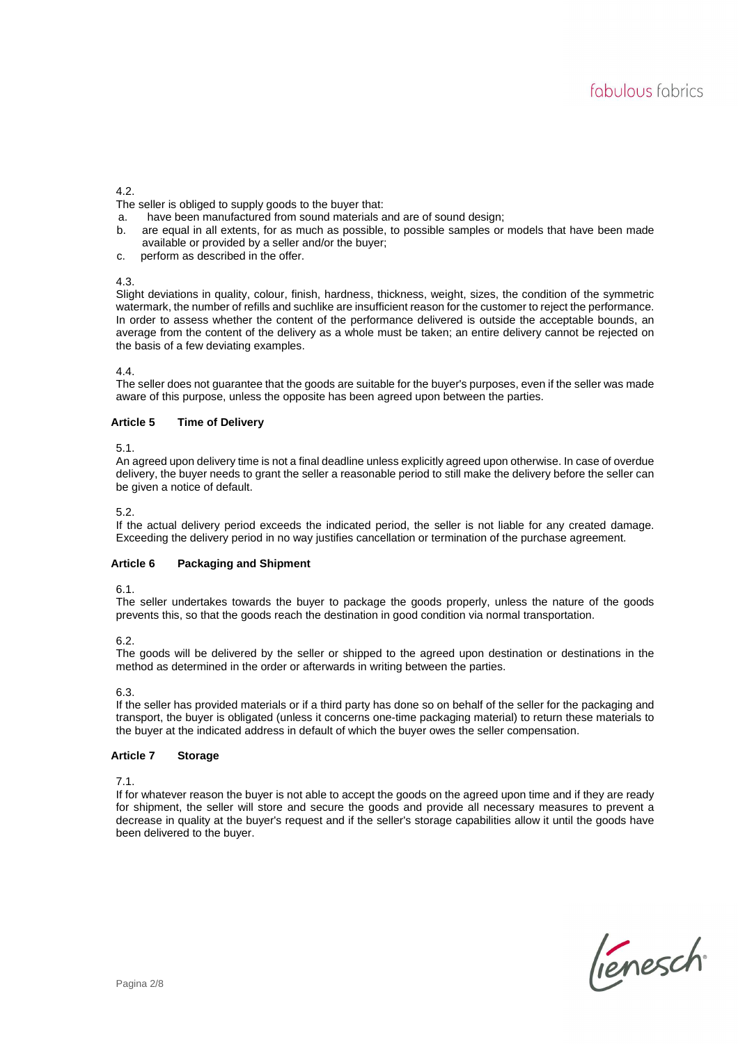## 4.2.

The seller is obliged to supply goods to the buyer that:

- a. have been manufactured from sound materials and are of sound design;
- b. are equal in all extents, for as much as possible, to possible samples or models that have been made available or provided by a seller and/or the buyer;
- c. perform as described in the offer.

## 4.3.

Slight deviations in quality, colour, finish, hardness, thickness, weight, sizes, the condition of the symmetric watermark, the number of refills and suchlike are insufficient reason for the customer to reject the performance. In order to assess whether the content of the performance delivered is outside the acceptable bounds, an average from the content of the delivery as a whole must be taken; an entire delivery cannot be rejected on the basis of a few deviating examples.

## 4.4.

The seller does not guarantee that the goods are suitable for the buyer's purposes, even if the seller was made aware of this purpose, unless the opposite has been agreed upon between the parties.

# **Article 5 Time of Delivery**

## 5.1.

An agreed upon delivery time is not a final deadline unless explicitly agreed upon otherwise. In case of overdue delivery, the buyer needs to grant the seller a reasonable period to still make the delivery before the seller can be given a notice of default.

## 5.2.

If the actual delivery period exceeds the indicated period, the seller is not liable for any created damage. Exceeding the delivery period in no way justifies cancellation or termination of the purchase agreement.

#### **Article 6 Packaging and Shipment**

6.1.

The seller undertakes towards the buyer to package the goods properly, unless the nature of the goods prevents this, so that the goods reach the destination in good condition via normal transportation.

6.2.

The goods will be delivered by the seller or shipped to the agreed upon destination or destinations in the method as determined in the order or afterwards in writing between the parties.

# 6.3.

If the seller has provided materials or if a third party has done so on behalf of the seller for the packaging and transport, the buyer is obligated (unless it concerns one-time packaging material) to return these materials to the buyer at the indicated address in default of which the buyer owes the seller compensation.

# **Article 7 Storage**

7.1.

If for whatever reason the buyer is not able to accept the goods on the agreed upon time and if they are ready for shipment, the seller will store and secure the goods and provide all necessary measures to prevent a decrease in quality at the buyer's request and if the seller's storage capabilities allow it until the goods have been delivered to the buyer.

lienesch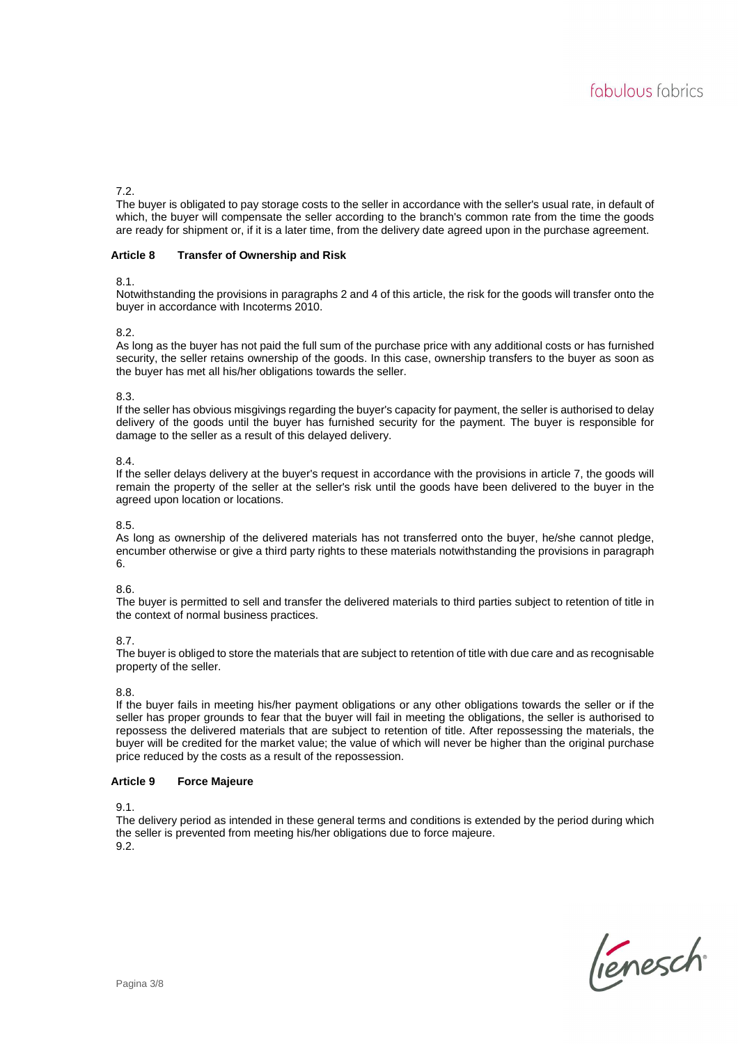## 7.2.

The buyer is obligated to pay storage costs to the seller in accordance with the seller's usual rate, in default of which, the buyer will compensate the seller according to the branch's common rate from the time the goods are ready for shipment or, if it is a later time, from the delivery date agreed upon in the purchase agreement.

## **Article 8 Transfer of Ownership and Risk**

#### 8.1.

Notwithstanding the provisions in paragraphs 2 and 4 of this article, the risk for the goods will transfer onto the buyer in accordance with Incoterms 2010.

## 8.2.

As long as the buyer has not paid the full sum of the purchase price with any additional costs or has furnished security, the seller retains ownership of the goods. In this case, ownership transfers to the buyer as soon as the buyer has met all his/her obligations towards the seller.

## 8.3.

If the seller has obvious misgivings regarding the buyer's capacity for payment, the seller is authorised to delay delivery of the goods until the buyer has furnished security for the payment. The buyer is responsible for damage to the seller as a result of this delayed delivery.

## 8.4.

If the seller delays delivery at the buyer's request in accordance with the provisions in article 7, the goods will remain the property of the seller at the seller's risk until the goods have been delivered to the buyer in the agreed upon location or locations.

#### 8.5.

As long as ownership of the delivered materials has not transferred onto the buyer, he/she cannot pledge, encumber otherwise or give a third party rights to these materials notwithstanding the provisions in paragraph 6.

#### 8.6.

The buyer is permitted to sell and transfer the delivered materials to third parties subject to retention of title in the context of normal business practices.

#### 8.7.

The buyer is obliged to store the materials that are subject to retention of title with due care and as recognisable property of the seller.

#### 8.8.

If the buyer fails in meeting his/her payment obligations or any other obligations towards the seller or if the seller has proper grounds to fear that the buyer will fail in meeting the obligations, the seller is authorised to repossess the delivered materials that are subject to retention of title. After repossessing the materials, the buyer will be credited for the market value; the value of which will never be higher than the original purchase price reduced by the costs as a result of the repossession.

## **Article 9 Force Majeure**

9.1.

The delivery period as intended in these general terms and conditions is extended by the period during which the seller is prevented from meeting his/her obligations due to force majeure. 9<sup>2</sup>

lienesch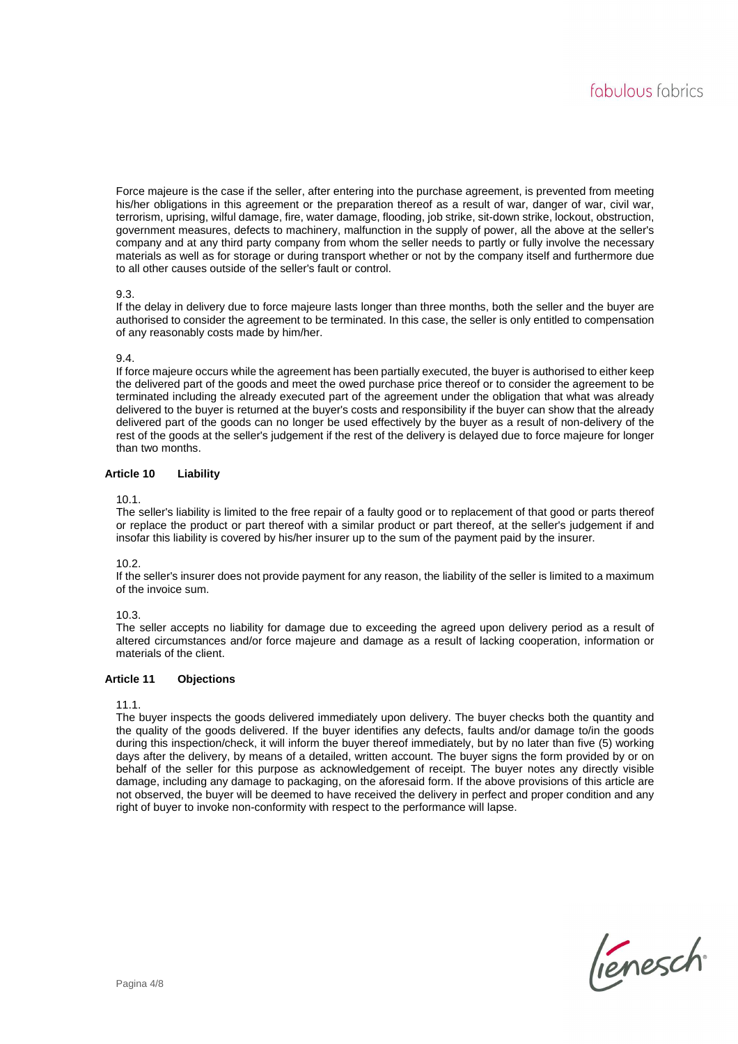Force majeure is the case if the seller, after entering into the purchase agreement, is prevented from meeting his/her obligations in this agreement or the preparation thereof as a result of war, danger of war, civil war, terrorism, uprising, wilful damage, fire, water damage, flooding, job strike, sit-down strike, lockout, obstruction, government measures, defects to machinery, malfunction in the supply of power, all the above at the seller's company and at any third party company from whom the seller needs to partly or fully involve the necessary materials as well as for storage or during transport whether or not by the company itself and furthermore due to all other causes outside of the seller's fault or control.

## 9.3.

If the delay in delivery due to force majeure lasts longer than three months, both the seller and the buyer are authorised to consider the agreement to be terminated. In this case, the seller is only entitled to compensation of any reasonably costs made by him/her.

#### 9.4.

If force majeure occurs while the agreement has been partially executed, the buyer is authorised to either keep the delivered part of the goods and meet the owed purchase price thereof or to consider the agreement to be terminated including the already executed part of the agreement under the obligation that what was already delivered to the buyer is returned at the buyer's costs and responsibility if the buyer can show that the already delivered part of the goods can no longer be used effectively by the buyer as a result of non-delivery of the rest of the goods at the seller's judgement if the rest of the delivery is delayed due to force majeure for longer than two months.

## **Article 10 Liability**

10.1.

The seller's liability is limited to the free repair of a faulty good or to replacement of that good or parts thereof or replace the product or part thereof with a similar product or part thereof, at the seller's judgement if and insofar this liability is covered by his/her insurer up to the sum of the payment paid by the insurer.

#### 10.2.

If the seller's insurer does not provide payment for any reason, the liability of the seller is limited to a maximum of the invoice sum.

#### 10.3.

The seller accepts no liability for damage due to exceeding the agreed upon delivery period as a result of altered circumstances and/or force majeure and damage as a result of lacking cooperation, information or materials of the client.

#### **Article 11 Objections**

#### 11.1.

The buyer inspects the goods delivered immediately upon delivery. The buyer checks both the quantity and the quality of the goods delivered. If the buyer identifies any defects, faults and/or damage to/in the goods during this inspection/check, it will inform the buyer thereof immediately, but by no later than five (5) working days after the delivery, by means of a detailed, written account. The buyer signs the form provided by or on behalf of the seller for this purpose as acknowledgement of receipt. The buyer notes any directly visible damage, including any damage to packaging, on the aforesaid form. If the above provisions of this article are not observed, the buyer will be deemed to have received the delivery in perfect and proper condition and any right of buyer to invoke non-conformity with respect to the performance will lapse.

lienesch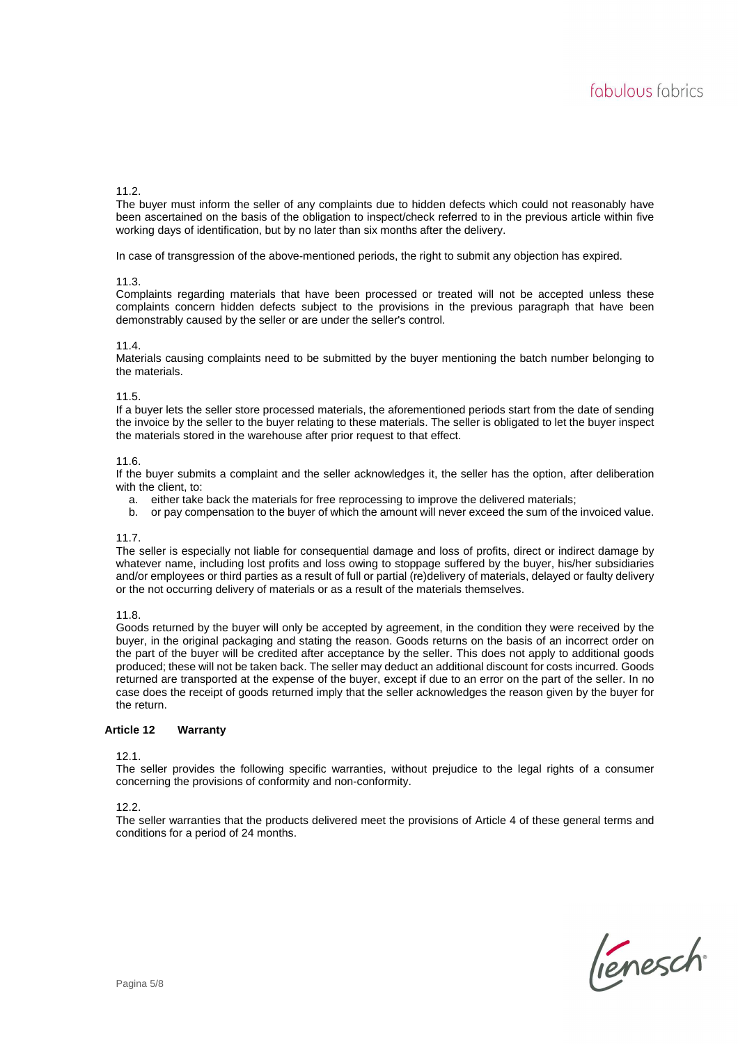# 11.2.

The buyer must inform the seller of any complaints due to hidden defects which could not reasonably have been ascertained on the basis of the obligation to inspect/check referred to in the previous article within five working days of identification, but by no later than six months after the delivery.

In case of transgression of the above-mentioned periods, the right to submit any objection has expired.

#### 11.3.

Complaints regarding materials that have been processed or treated will not be accepted unless these complaints concern hidden defects subject to the provisions in the previous paragraph that have been demonstrably caused by the seller or are under the seller's control.

#### 11.4.

Materials causing complaints need to be submitted by the buyer mentioning the batch number belonging to the materials.

#### 11.5.

If a buyer lets the seller store processed materials, the aforementioned periods start from the date of sending the invoice by the seller to the buyer relating to these materials. The seller is obligated to let the buyer inspect the materials stored in the warehouse after prior request to that effect.

#### 11.6.

If the buyer submits a complaint and the seller acknowledges it, the seller has the option, after deliberation with the client, to:

- a. either take back the materials for free reprocessing to improve the delivered materials;
- b. or pay compensation to the buyer of which the amount will never exceed the sum of the invoiced value.

#### 11.7.

The seller is especially not liable for consequential damage and loss of profits, direct or indirect damage by whatever name, including lost profits and loss owing to stoppage suffered by the buyer, his/her subsidiaries and/or employees or third parties as a result of full or partial (re)delivery of materials, delayed or faulty delivery or the not occurring delivery of materials or as a result of the materials themselves.

11.8.

Goods returned by the buyer will only be accepted by agreement, in the condition they were received by the buyer, in the original packaging and stating the reason. Goods returns on the basis of an incorrect order on the part of the buyer will be credited after acceptance by the seller. This does not apply to additional goods produced; these will not be taken back. The seller may deduct an additional discount for costs incurred. Goods returned are transported at the expense of the buyer, except if due to an error on the part of the seller. In no case does the receipt of goods returned imply that the seller acknowledges the reason given by the buyer for the return.

#### **Article 12 Warranty**

12.1.

The seller provides the following specific warranties, without prejudice to the legal rights of a consumer concerning the provisions of conformity and non-conformity.

#### 12.2.

The seller warranties that the products delivered meet the provisions of Article 4 of these general terms and conditions for a period of 24 months.

lienesch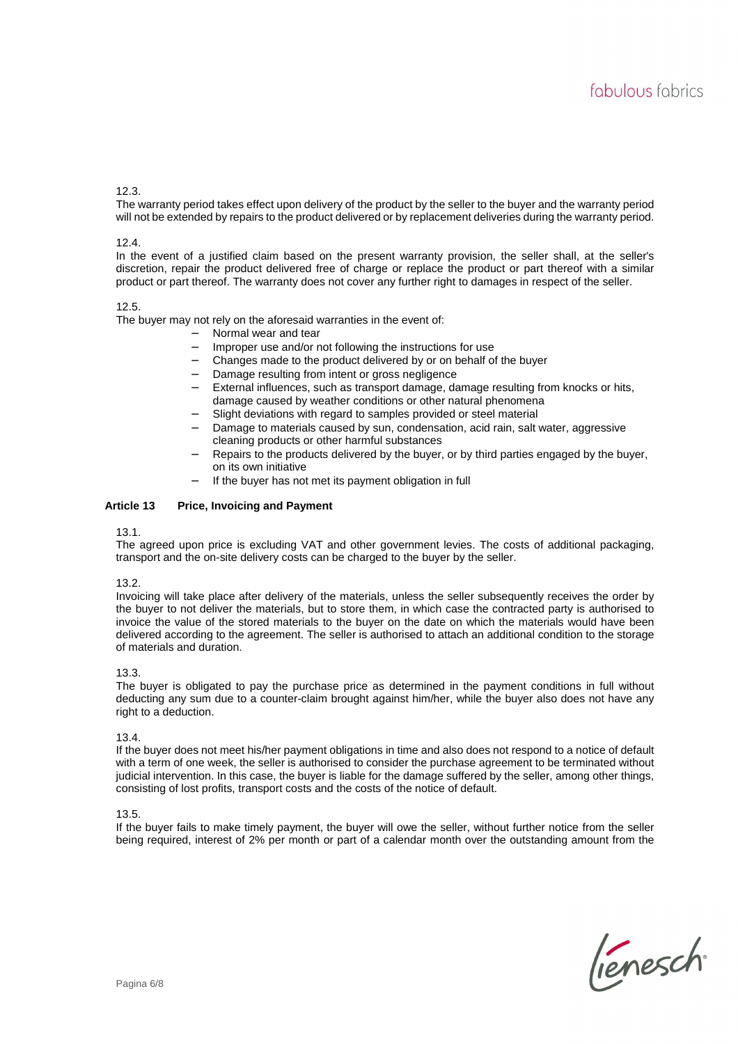## 12.3.

The warranty period takes effect upon delivery of the product by the seller to the buyer and the warranty period will not be extended by repairs to the product delivered or by replacement deliveries during the warranty period.

#### 12.4.

In the event of a justified claim based on the present warranty provision, the seller shall, at the seller's discretion, repair the product delivered free of charge or replace the product or part thereof with a similar product or part thereof. The warranty does not cover any further right to damages in respect of the seller.

#### 12.5.

The buyer may not rely on the aforesaid warranties in the event of:

- − Normal wear and tear
- Improper use and/or not following the instructions for use
- − Changes made to the product delivered by or on behalf of the buyer
- Damage resulting from intent or gross negligence
- − External influences, such as transport damage, damage resulting from knocks or hits, damage caused by weather conditions or other natural phenomena
- Slight deviations with regard to samples provided or steel material
- Damage to materials caused by sun, condensation, acid rain, salt water, aggressive cleaning products or other harmful substances
- Repairs to the products delivered by the buyer, or by third parties engaged by the buyer, on its own initiative
- If the buyer has not met its payment obligation in full

#### **Article 13 Price, Invoicing and Payment**

#### 13.1.

The agreed upon price is excluding VAT and other government levies. The costs of additional packaging, transport and the on-site delivery costs can be charged to the buyer by the seller.

#### 13.2.

Invoicing will take place after delivery of the materials, unless the seller subsequently receives the order by the buyer to not deliver the materials, but to store them, in which case the contracted party is authorised to invoice the value of the stored materials to the buyer on the date on which the materials would have been delivered according to the agreement. The seller is authorised to attach an additional condition to the storage of materials and duration.

#### 13.3.

The buyer is obligated to pay the purchase price as determined in the payment conditions in full without deducting any sum due to a counter-claim brought against him/her, while the buyer also does not have any right to a deduction.

#### 13.4.

If the buyer does not meet his/her payment obligations in time and also does not respond to a notice of default with a term of one week, the seller is authorised to consider the purchase agreement to be terminated without judicial intervention. In this case, the buyer is liable for the damage suffered by the seller, among other things, consisting of lost profits, transport costs and the costs of the notice of default.

#### 13.5.

If the buyer fails to make timely payment, the buyer will owe the seller, without further notice from the seller being required, interest of 2% per month or part of a calendar month over the outstanding amount from the

lienesch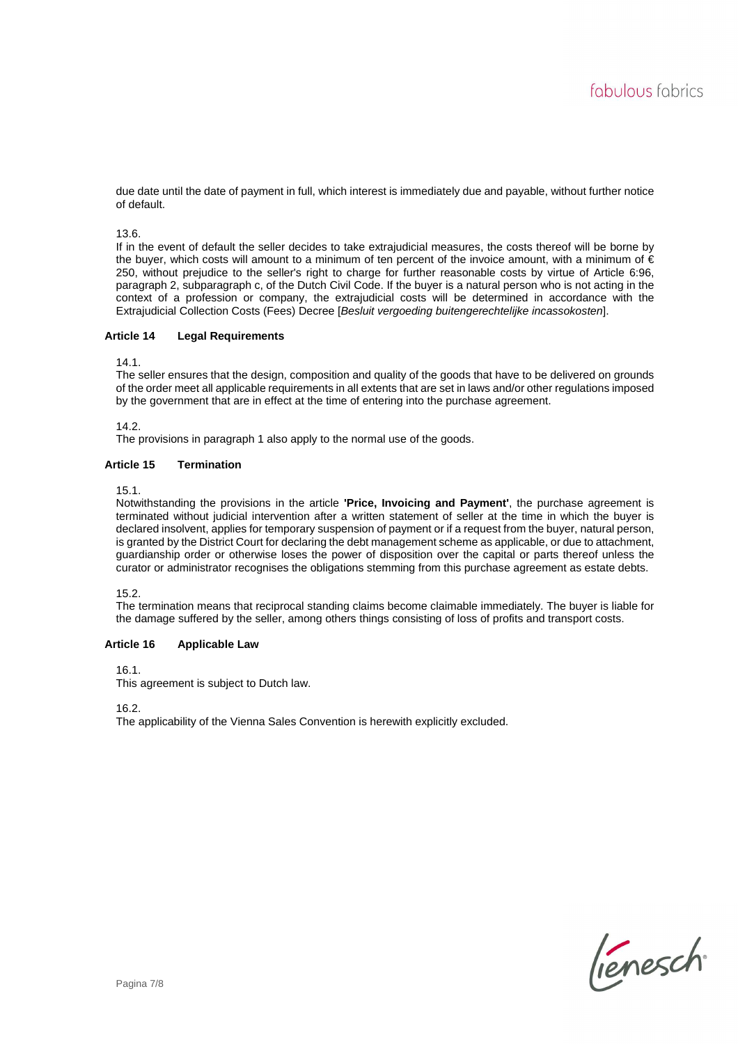due date until the date of payment in full, which interest is immediately due and payable, without further notice of default.

13.6.

If in the event of default the seller decides to take extrajudicial measures, the costs thereof will be borne by the buyer, which costs will amount to a minimum of ten percent of the invoice amount, with a minimum of € 250, without prejudice to the seller's right to charge for further reasonable costs by virtue of Article 6:96, paragraph 2, subparagraph c, of the Dutch Civil Code. If the buyer is a natural person who is not acting in the context of a profession or company, the extrajudicial costs will be determined in accordance with the Extrajudicial Collection Costs (Fees) Decree [Besluit vergoeding buitengerechtelijke incassokosten].

## **Article 14 Legal Requirements**

14.1.

The seller ensures that the design, composition and quality of the goods that have to be delivered on grounds of the order meet all applicable requirements in all extents that are set in laws and/or other regulations imposed by the government that are in effect at the time of entering into the purchase agreement.

14.2.

The provisions in paragraph 1 also apply to the normal use of the goods.

# **Article 15 Termination**

15.1.

Notwithstanding the provisions in the article **'Price, Invoicing and Payment'**, the purchase agreement is terminated without judicial intervention after a written statement of seller at the time in which the buyer is declared insolvent, applies for temporary suspension of payment or if a request from the buyer, natural person, is granted by the District Court for declaring the debt management scheme as applicable, or due to attachment, guardianship order or otherwise loses the power of disposition over the capital or parts thereof unless the curator or administrator recognises the obligations stemming from this purchase agreement as estate debts.

15.2.

The termination means that reciprocal standing claims become claimable immediately. The buyer is liable for the damage suffered by the seller, among others things consisting of loss of profits and transport costs.

# **Article 16 Applicable Law**

16.1.

This agreement is subject to Dutch law.

16.2.

The applicability of the Vienna Sales Convention is herewith explicitly excluded.

lienesch